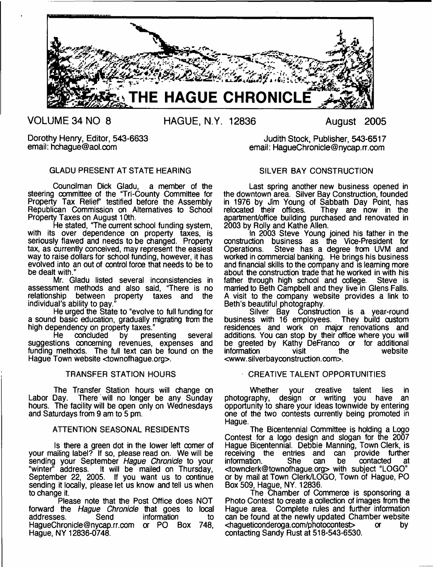

**VOLUME 34 NO 8 HAGUE, N.Y. 12836 August 2005**

Dorothy Henry, Editor, 543-6633 email: [hchague@aol.com](mailto:hchague@aol.com)

# GLADU PRESENT AT STATE HEARING

Councilman Dick Gladu, a member of the steering oommittee of the "Tri-County Committee for Property Tax Relief" testified before the Assembly Republican Commission on Alternatives to School Property Taxes on August 10th.

He stated, "The current school funding system, with its over dependence on property taxes, is seriously flawed and needs to be changed. Property tax, as currently conceived, may represent the easiest way to raise dollars for school funding, however, it has evolved into an out of control force that needs to be to be dealt with."

Mr. Gladu listed several inconsistencies in assessment methods and also said, "There is no relationship between property taxes and the individual's ability to pay."

He urged the State to "evolve to full funding for a sound basic education, gradually migrating from the high dependency on property taxes."<br>He concluded by presenting

He concluded by presenting several suggestions concerning revenues, expenses and funding methods. The full text can be found on the Hague Town website <townofhague.org>.

#### TRANSFER STATION HOURS

The Transfer Station hours will change on Labor Day. There will no longer be any Sunday hours. The facility will be open only on Wednesdays and Saturdays from 9 am to 5 pm.

# ATTENTION SEASONAL RESIDENTS

Is there a green dot in the lower left comer of your mailing label? If so, please read on. We will be sending your September *Hague Chronicle* to your "winter" address. It will be mailed on Thursday, September 22, 2005. If you want us to continue sending it locally, please let us know and tell us when to change it.

Please note that the Post Office does NOT forward the *Hague Chronicle* that goes to local information [HagueChronide@nycap.rr.com](mailto:HagueChronide@nycap.rr.com) or PO Box 748, Hague, NY 12836-0748.

Judith Stock, Publisher, 543-6517 email: [HagueChronicle@nycap.rr.com](mailto:HagueChronicle@nycap.rr.com)

# SILVER BAY CONSTRUCTION

Last spring another new business opened in the downtown area. Silver Bay Construction, founded in 1976 by Jim Young of Sabbath Day Point, has<br>relocated their offices. They are now in the They are now in the apartment/office building purchased and renovated in 2003 by Roily and Kathe Allen.

In 2003 Steve Young joined his father in the construction business as the Vice-President for Operations. Steve has a degree from UVM and worked in commercial banking. He brings his business and finandal skills to the company and is learning more about the construction trade that he worked in with his father through high school and college. Steve is father through high school and college. married to Beth Campbell and they live in Glens Falls. A visit to the company website provides a link to Beth's beautiful photography.<br>Silver Bay Constru

Construction is a year-round<br>emplovees. They build custom business with 16 employees. residences and work on major renovations and additions. You can stop by their office where you will be greeted by Kathy DeFranco or for additional information visit the website information <[www.silverbayconstruction.com](http://www.silverbayconstruction.com)>.

#### CREATIVE TALENT OPPORTUNITIES

Whether your creative talent lies in<br>raphy, design or writing you have an photography, design or writing you have opportunity to share your ideas townwide by entering one of the two contests currently being promoted in Hague.

The Bicentennial Committee is holding a Logo Contest for a logo design and slogan for the 2007 Hague Bicentennial. Debbie Manning, Town Clerk, is receiving the entries and can provide further<br>information. She can be contacted at information. She can be contacted at [<townderk@townofhague.org>](mailto:townderk@townofhague.org) with subject "LOGO" or by mail at Town Clerk/LOGO, Town of Hague, PO Box 509, Hague, NY. 12836.

The Chamber of Commeroe is sponsoring a Photo Contest to create a collection of images from the Hague area. Complete rules and further information can be found at the newly updated Chamber website <hagueticonderoga.com/photocontest> or by contacting Sandy Rust at 518-543-6530.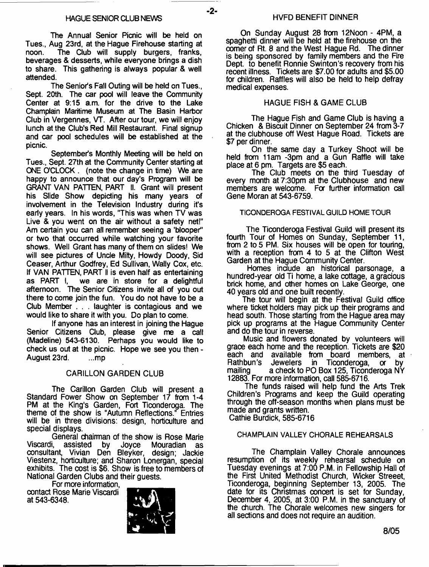The Annual Senior Picnic will be held on Tues., Aug 23rd, at the Hague Firehouse starting at The Club will supply burgers, franks, beverages & desserts, while everyone brings a dish to share. This gathering is always popular & well attended.

The Senior's Fall Outing will be held on Tues., Sept. 20th. The car pool will leave the Community Center at 9:15 a.m. for the drive to the Lake Champlain Maritime Museum at The Basin Harbor Club in Vergennes, VT. After our tour, we will enjoy lunch at the Club's Red Mill Restaurant. Final signup and car pool schedules will be established at the picnic.

September's Monthly Meeting will be held on Tues., Sept. 27th at the Community Center starting at ONE O'CLOCK . (note the change in time) We are happy to announce that our day's Program will be GRANT VAN PATTEN, PART II. Grant will present his Slide Show depicting his many years of involvement in the Television Industry during it's early years. In his words, "This was when TV was Live & you went on the air without a safety net!" Am certain you can all remember seeing a 'blooper" or two that occurred while watching your favorite shows. Well Grant has many of them on slides! We will see pictures of Uncle Milty, Howdy Doody, Sid Ceaser, Arthur Godfrey, Ed Sullivan, Wally Cox, etc. If VAN PATTEN, PART II is even half as entertaining<br>as PART I, we are in store for a delightful we are in store for a delightful afternoon. The Senior Citizens invite all of you out there to come join the fun. You do not have to be a Club Member . . . laughter is contagious and we would like to share it with you. Do plan to come.

If anyone has an interest in joining the Hague Senior Citizens Club, please give me a call (Madeline) 543-6130. Perhaps you would like to check us out at the picnic. Hope we see you then - August 23rd. ...mp

# CARILLON GARDEN CLUB

The Carillon Garden Club will present a Standard Fower Show on September 17 from 1-4 PM at the King's Garden, Fort Ticonderoga. The theme of the show is "Autumn Reflections." Entries will be in three divisions: design, horticulture and special displays.

General chairman of the show is Rose Marie<br>Viscardi, assisted by Joyce Mouradian as Viscardi, assisted by Joyce Mouradian as consultant, Vivian Den Bleyker, design; Jackie Viestenz, horticulture; and Sharon Lonergan, special exhibits. The cost is \$6. Show is free to members of National Garden Clubs and their guests.

For more information, contact Rose Marie Viscardi at 543-6348.



On Sunday August 28 from 12Noon - 4PM, a spaghetti dinner will be held at the firehouse on the comer of Rt. 8 and the West Hague Rd. The dinner is being sponsored by family members and the Fire Dept. to benefit Ronnie Swinton's recovery from his recent illness. Tickets are \$7.00 for adults and \$5.00 for children. Raffles will also be held to help defray medical expenses.

# HAGUE FISH & GAME CLUB

The Hague Fish and Game Club is having a Chicken & Biscuit Dinner on September 24 from 3-7 at the clubhouse off West Hague Road. Tickets are \$7 per dinner.

On the same day a Turkey Shoot will be held from 11am -3pm and a Gun Raffle will take place at 6 pm. Targets are \$5 each.

The Club meets on the third Tuesday of every month at 7:30pm at the Clubhouse and new members are welcome. For further information call Gene Moran at 543-6759.

#### **TICONDEROGA FESTIVAL GUILD HOME TOUR**

The Ticonderoga Festival Guild will present its fourth Tour of Homes on Sunday, September 11, from 2 to 5 PM. Six houses will be open for touring, with a reception from 4 to 5 at the Clifton West Garden at the Hague Community Center.

Homes include an historical parsonage, a hundred-year old Ti home, a lake cottage, a gracious brick home, and other homes on Lake George, one 40 years old and one built recently.

The tour will begin at the Festival Guild office where ticket holders may pick up their programs and head south. Those starting from the Hague area may pick up programs at the Hague Community Center and do the tour in reverse.

Music and flowers donated by volunteers will grace each home and the reception. Tickets are \$20 each and available from board members, at Rathbun's Jewelers in Ticonderoga, or by mailing a check to PO Box 125, Ticonderoga NY 12883. For more information, call 585-6716.

The funds raised will help fund the Arts Trek Children's Programs and keep the Guild operating through the off-season months when plans must be made and grants written. Cathie Burdick, 585-6716

### **CHAMPLAIN VALLEY CHORALE REHEARSALS**

The Champlain Valley Chorale announces resumption of its weekly rehearsal schedule on Tuesday evenings at 7:00 P.M. in Fellowship Hall of the First United Methodist Church, Wicker Streeet, Ticonderoga, beginning September 13, 2005. The date for its Christmas concert is set for Sunday, December 4, 2005, at 3:00 P.M. in the sanctuary of the church. The Chorale welcomes new singers for all sections and does not require an audition.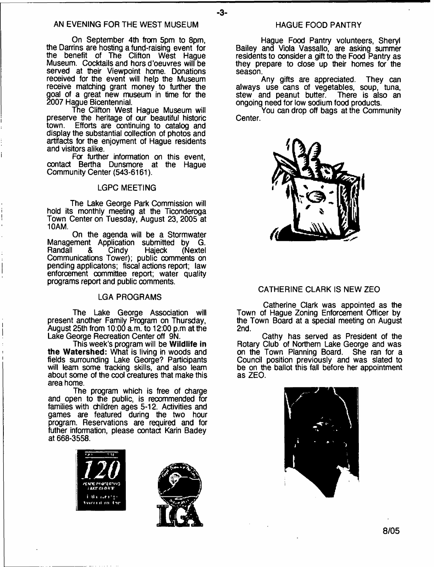- **3**-

On September 4th from 5pm to 8pm, the Darrins are hosting a fund-raising event for the benefit of The Clifton West Hague Museum. Cocktails and hors d'oeuvres will be served at their Viewpoint home. Donations received for the event will help the Museum receive matching grant money to further the goal of a great new museum in time for the 2007 Hague Bicentennial.

The Clifton West Hague Museum will preserve the heritage of our beautiful historic town. Efforts are continuing to catalog and display the substantial collection of photos and artifacts for the enjoyment of Hague residents and visitors alike.

For further information on this event, contact Bertha Dunsmore at the Hague Community Center (543-6161).

#### **LGPC MEETING**

The Lake George Park Commission will hold its monthly meeting at the Ticonderoga Town Center on Tuesday, August 23, 2005 at 10AM.

On the agenda will be a Stormwater Management Application submitted by G.<br>Randall & Cindy Hajeck (Nextel) Randall & Cindy Hqjeck (Nextel Communications Tower); public comments on pending applicatons; fiscal actions report; law enforcement committee report; water quality programs report and public comments.

#### **LGA PROGRAMS**

The Lake George Association will present another Family Program on Thursday, August 25th from 10:00 a.m. to 12:00 p.m at the Lake George Recreation Center off 9N.

This week's program will be **Wildlife in the Watershed:** What is living in woods and fields surrounding Lake George? Participants will learn some tracking skills, and also learn about some of the cool creatures that make this area home.

The program which is free of charge and open to the public, is recommended for families with children ages 5-12. Activities and games are featured during the two hour program. Reservations are required and for futher information, please contact Karin Badey at 668-3558.





#### HAGUE FOOD PANTRY

Hague Food Pantry volunteers, Sheryl Bailey and Viola Vassallo, are asking summer residents to consider a gift to the Food Pantry as they prepare to dose up their homes for the season.

Any gifts are appreciated. They can always use cans of vegetables, soup, tuna, stew and peanut butter. There is also an ongoing need for low sodium food products.

You can drop off bags at the Community Center.



# CATHERINE CLARK IS NEW ZEO

Catherine Clark was appointed as the Town of Hague Zoning Enforcement Officer by the Town Board at a special meeting on August 2nd.

Cathy has served as President of the Rotary Club of Northern Lake George and was on the Town Planning Board. She ran for a Council position previously and was slated to be on the ballot this fall before her appointment as ZEO.



**8/05**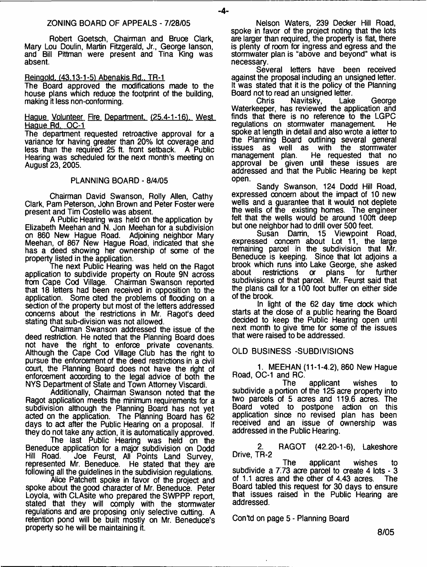Robert Goetsch, Chairman and Bruce Clark, Mary Lou Doulin, Martin Fitzgerald, Jr., George lanson, and Bill Pittman were present and Tina King was absent.

#### Reinaold. (43.13-1-51 Abenakis Rd.. TR-1

The Board approved the modifications made to the house plans which reduce the footprint of the building, making it less non-conforming.

#### Hague Volunteer Fire Department. (25.4-1-16). West Hague Rd. OC-1

The department requested retroactive approval for a variance for having greater than 20% lot coverage and less than the required 25 ft. front setback. A Public Hearing was scheduled for the next month's meeting on August 23, 2005.

#### PLANNING BOARD - 8/4/05

Chairman David Swanson, Roily Allen, Cathy Clark, Pam Peterson, John Brown and Peter Foster were present and Tim Costello was absent.

A Public Hearing was held on the application by Elizabeth Meehan and N. Jon Meehan for a subdivision on 860 New Hague Road. Adjoining neighbor Mary Meehan, of 867 New Hague Road, indicated that she has a deed showing her ownership of some of the property listed in the application.

The next Public Hearing was held on the Ragot application to subdivide property on Route 9N across from Cape Cod Village. Chairman Swanson reported that 18 letters had been received in opposition to the application. Some dted the problems of flooding on a section of the property but most of the letters addressed concerns about the restrictions in Mr. Ragot's deed stating that sub-division was not allowed.

Chairman Swanson addressed the issue of the deed restriction. He noted that the Planning Board does not have the right to enforce private covenants. Although the Cape Cod Village Club has the right to pursue the enforcement of the deed restrictions in a civil court, the Planning Board does not have the right of enforcement according to the legal advice of both the NVS Department of State and Town Attorney Viscardi.

Additionally, Chairman Swanson noted that the Ragot application meets the minimum requirements for a subdivision although the Planning Board has not yet acted on the application. The Planning Board has 62 days to act after the Public Hearing on a proposal. If they do not take any action, it is automatically approved.

The last Public Hearing was held on the Beneduce application for a major subdivision on Dodd Hill Road. Joe Feurst, All Points Land Survey, represented Mr. Beneduce. He stated that they are following all the guidelines in the subdivision regulations.

Alice Patchett spoke in favor of the project and spoke about the good character of Mr. Beneduce. Peter Loyola, with CLAsite who prepared the SWPPP report, stated that they will comply with the stormwater regulations and are proposing only selective cutting. A retention pond will be built mostly on Mr. Beneduce's property so he will be maintaining it.

ZONING BOARD OF APPEALS - 7/28/05 Nelson Waters, 239 Decker Hill Road, spoke in favor of the project noting that the lots are larger than required, the property is flat, there is plenty of room for ingress and egress and the stormwater plan is "above and beyond" what is necessary.

Several letters have been received against the proposal including an unsigned letter. It was stated that it is the policy of the Planning

Board not to read an unsigned letter.<br>Chris Navitsky, Lake Navitsky, Lake George Waterkeeper, has reviewed the application and finds that there is no reference to the LGPC regulations on stormwater management He spoke at length in detail and also wrote a letter to the Planning Board outlining several general issues as well as with the stormwater management plan. He requested that no approval be given until these issues are addressed and that the Public Hearing be kept open.

Sandy Swanson, 124 Dodd Hill Road, expressed concern about the impact of 10 new wells and a guarantee that it would not deplete the wells of the existing homes. The engineer felt that the wells would be around 100ft deep but one neighbor had to drill over 500 feet.

Susan Damn, 15 Viewpoint Road, expressed concern about Lot 11, the large remaining parcel in the subdivision that Mr. Beneduce is keeping. Since that lot adjoins a brook which runs into Lake George, she asked<br>about restrictions or plans for further restrictions subdivisions of that parcel. Mr. Feurst said that the plans call for a 100 foot buffer on either side of the brook.

In light of the 62 day time dock which starts at the dose of a public hearing the Board decided to keep the Public Hearing open until next month to give time for some of the issues that were raised to be addressed.

# OLD BUSINESS -SUBDIVISIONS

1. MEEHAN (11-1-4.2), 860 New Hague

Road, OC-1 and RC. applicant wishes to subdivide a portion of the 125 acre property into two parcels of 5 acres and 119.6 acres. The Board voted to postpone action on this application since no revised plan has been received and an issue of ownership was addressed in the Public Hearing.

2. RAGOT (42.20-1-6), Lakeshore Drive, TR-2

The applicant wishes to subdivide a  $7.73$  acre parcel to create 4 lots -  $3$ of 1.1 acres and the other of 4.43 acres. The Board tabled this request for 30 days to ensure that issues raised in the Public Hearing are addressed.

Contd on page 5 - Planning Board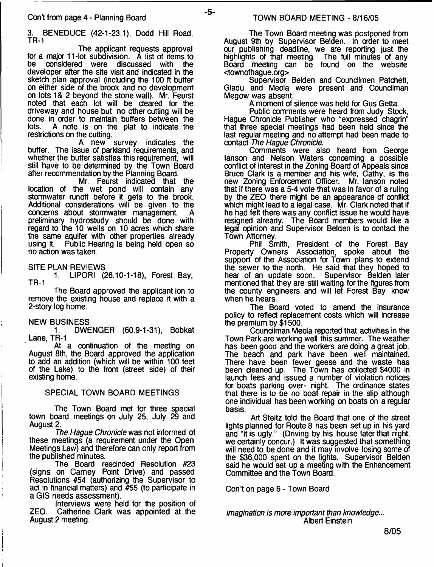3. BENEDUCE (42-1-23.1), Dodd Hill Road, TR-1

-5-

The applicant requests approval for a major 11-lot subdivision. A list of items to<br>be considered were discussed with the considered were discussed with the developer after the site visit and indicated in the sketch plan approval (including the 100 ft buffer on either side of the brook and no development on lots 1 & 2 beyond the stone wall). Mr. Feurst noted that each lot will be cleared for the driveway and house but no other cutting will be done in order to maintain buffers between the<br>lots. A note is on the plat to indicate the A note is on the plat to indicate the

restrictions on the cutting.<br>A new survey indicates the buffer. The issue of parkland requirements, and whether the buffer satisfies this requirement, will still have to be determined by the Town Board after recommendation by the Planning Board.

Mr. Feurst indicated that the location of the wet pond will contain any stormwater runoff before it gets to the brook. Additional considerations will be given to the concerns about stormwater management. preliminary hydrostudy should be done with regard to the 10 wells on 10 acres which share the same aquifer with other properties already<br>using it. Public Hearing is being held open so Public Hearing is being held open so no action was taken.

SITE PLAN REVIEWS

1. LIPORI (26.10-1-18), Forest Bay, TR-1

The Board approved the applicant ion to remove the existing house and replace it with a 2-story log home.

#### NEW BUSINESS

1. DWENGER (60.9-1-31), Bobkat Lane, TR-1

At a continuation of the meeting on August 8th, the Board approved the application to add an addition (which will be within 100 feet of the Lake) to the front (street side) of their existing home.

#### SPECIAL TOWN BOARD MEETINGS

The Town Board met for three special town board meetings on July 25, July 29 and August 2.

*The Hague Chronicle* was not informed of these meetings (a requirement under the Open Meetings Law) and therefore can only report from the published minutes.

The Board rescinded Resolution #23 (signs on Carney Point Drive) and passed Resolutions #54 (authorizing the Supervisor to act in financial matters) and #55 (to participate in a GIS needs assessment).

Interviews were held for the position of ZEO. Catherine Clark was appointed at the August 2 meeting.

The Town Board meeting was postponed from August 9th by Supervisor Belden. In order to meet our publishing deadline, we are reporting just the highlights of that meeting. The full minutes of any Board meeting can be found on the website <townofhague.org>.

Supervisor Belden and Coundlmen Patchett, Gladu and Meola were present and Councilman Megow was absent.

A moment of silence was held for Gus Getta.

Public comments were heard from Judy Stock, Hague Chronicle Publisher who "expressed chagrin" that three special meetings had been held since the last regular meeting and no attempt had been made to contact *The Hague Chronicle.*

Comments were also heard from George lanson and Nelson Waters concerning a possible conflict of interest in the Zoning Board of Appeals since Bruce Clark is a member and his wife, Cathy, is the new Zoning Enforcement Officer. Mr. lanson noted that if there was a 5-4 vote that was in favor of a ruling by the ZEO there might be an appearance of conflict which might lead to a legal case. Mr. Clark noted that if he had felt there was any conflict issue he would have resigned already. The Board members would like a legal opinion and Supervisor Belden is to contact the Town Attorney.

Phil Smith, President of the Forest Bay Property Owners Association, spoke about the support of the Association for Town plans to extend the sewer to the north. He said that they hoped to hear of an update soon. Supervisor Belden later mentioned that they are still waiting for the figures from the county engineers and will let Forest Bay know when he hears.

The Board voted to amend the insurance policy to reflect replacement costs which will increase the premium by \$1500.

Councilman Meola reported that activities in the Town Park are working well this summer. The weather has been good and the workers are doing a great job. The beach and park have been well maintained. There have been fewer geese and the waste has been cleaned up. The Town has collected \$4000 in launch fees and issued a number of violation notices for boats parking over- night. The ordinance states that there is to be no boat repair in the slip although one individual has been working on boats on a regular basis.

Art Steitz told the Board that one of the street lights planned for Route 8 has been set up in his yard and "it is ugly." (Driving by his house later that night, we certainly concur.) It was suggested that something will need to be done and it may involve losing some of the \$36,000 spent on the lights. Supervisor Belden said he would set up a meeting with the Enhancement Committee and the Town Board.

Con't on page 6 - Town Board

*Imagination is more important than knowledge...* Albert Einstein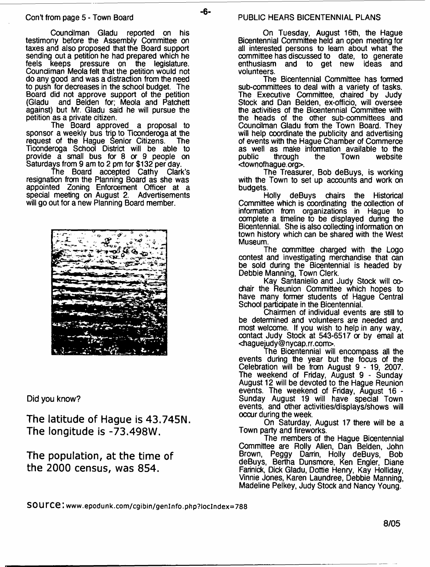Councilman Gladu reported on his testimony before the Assembly Committee on taxes and also proposed that the Board support sending out a petition he had prepared which he<br>feels keeps pressure on the legislature. pressure on the legislature. Coundiman Meola felt that the petition would not do any good and was a distraction from the need to push for decreases in the school budget. The Board did not approve support of the petition (Gladu and Belden for; Meola and Patchett against) but Mr. Gladu said he will pursue the petition as a private citizen.

The Board approved a proposal to sponsor a weekly bus trip to Ticonderoga at the request of the Hague Senior Citizens. The Ticonderoga School District will be able to provide a small bus for 8 or 9 people on Saturdays from 9 am to 2 pm for \$132 per day.

The Board accepted Cathy Clark's resignation from the Planning Board as she was appointed Zoning Enforcement Officer at a special meeting on August 2. Advertisements will go out for a new Planning Board member.



Did you know?

**The latitude of Hague is 43.745N. The longitude is -73.498W.**

**The population, at the time of the 2000 census, was 854.**

-6-

On Tuesday, August 16th, the Hague Bicentennial Committee held an open meeting for all interested persons to learn about what the committee has discussed to date, to generate enthusiasm and to get new volunteers.

The Bicentennial Committee has formed sub-committees to deal with a variety of tasks. The Executive Committee, chaired by Judy Stock and Dan Belden, ex-officio, will oversee the activities of the Bicentennial Committee with the heads of the other sub-committees and Councilman Gladu from the Town Board. They will help coordinate the publicity and advertising of events with the Hague Chamber of Commerce as well as make information available to the public through the Town website through <townofhague.org>.

The Treasurer, Bob deBuys, is working with the Town to set up accounts and work on budgets.

Holly deBuys chairs the Historical Committee which is coordinating the collection of information from organizations in Hague to complete a timeline to be displayed during the Bicentennial. She is also collecting information on town history which can be shared with the West Museum.

The committee charged with the Logo contest and investigating merchandise that can be sold during the Bicentennial is headed by Debbie Manning, Town Clerk.

Kay Santaniello and Judy Stock will cochair the Reunion Committee which hopes to have many former students of Hague Central School participate in the Bicentennial.

Chairmen of individual events are still to be determined and volunteers are needed and most welcome. If you wish to help in any way, contact Judy Stock at 543-6517 or by email at [<haguejudy@nycap.rr.com](mailto:haguejudy@nycap.rr.com)>.

The Bicentennial will encompass all the events during the year but the focus of the Celebration will be from August 9 - 19, 2007. The weekend of Friday, August 9 - Sunday August 12 will be devoted to the Hague Reunion events. The weekend of Friday, August 16 - Sunday August 19 will have special Town events, and other activities/displays/shows will occur during the week.

On Saturday, August 17 there will be a Town party and fireworks.

The members of the Hague Bicentennial Committee are Roily Allen, Dan Belden, John Brown, Peggy Darrin, Holly deBuys, Bob deBuys, Bertha Dunsmore, Ken Engler, Diane Farinick, Dick Gladu, Dottie Henry, Kay Holliday, Vinnie Jones, Karen Laundree, Debbie Manning, Madeline Pelkey, Judy Stock and Nancy Young.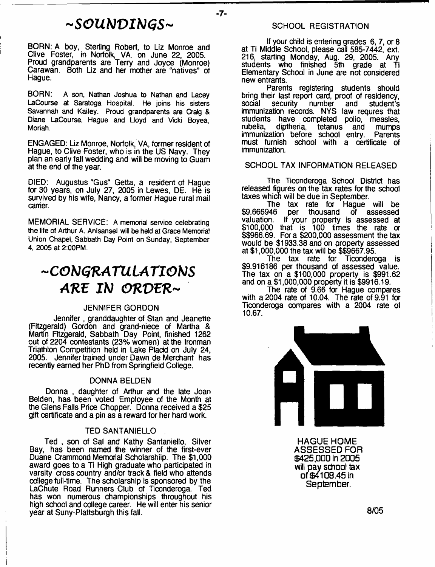# *-SOUNDINGS-*

 $-7-$ 

BORN: A boy, Sterling Robert, to Liz Monroe and Clive Foster, in Norfolk, VA. on June 22, 2005. Proud grandparents are Terry and Joyce (Monroe) Carawan. Both Liz and her mother are "natives" of Hague.

**BORN: A son, Nathan Joshua to Nathan and Lacey LaCourse at Saratoga Hospital. He joins his sisters Savannah and Kailey. Proud grandparents are Craig & Diane LaCourse, Hague and Lloyd and Vicki Boyea, Moriah.**

ENGAGED: Liz Monroe, Norfolk, VA, former resident of Hague, to Clive Foster, who is in the US Navy. They plan an early fall wedding and will be moving to Guam at the end of the year.

DIED: Augustus "Gus" Getta, a resident of Hague for 30 years, on July 27, 2005 in Lewes, DE. He is survived by his wife, Nancy, a former Hague rural mail carrier.

MEMORIAL SERVICE: **A memorial service celebrating the life of Arthur A. Anisansel will be held at Grace Memorial Union Chapel, Sabbath Day Point on Sunday, September 4, 2005 at 2:00PM.**

# *"CONGRATULATIONS ARE IN ORVER-*

#### JENNIFER GORDON

Jennifer, granddaughter of Stan and Jeanette (Fitzgerald) Gordon and grand-niece of Martha & Martin Fitzgerald, Sabbath Day Point, finished 1262 out of 2204 contestants (23% women) at the Ironman Triathlon Competition held in Lake Placid on July 24, 2005. Jennifer trained under Dawn de Merchant has recently earned her PhD from Springfield College.

#### DONNA BELDEN

Donna , daughter of Arthur and the late Joan Belden, has been voted Employee of the Month at the Glens Falls Price Chopper. Donna received a \$25 gift certificate and a pin as a reward for her hard work.

#### TED SANTANIELLO

Ted , son of Sal and Kathy Santaniello, Silver Bay, has been named the winner of the first-ever Duane Crammond Memorial Scholarship. The \$1,000 award goes to a Ti High graduate who participated in varsity cross country and/or track & field who attends college full-time. The scholarship is sponsored by the LaChute Road Runners Club of Ticonderoga. Ted has won numerous championships throughout his high school and college career. He will enter his senior year at Suny-Plattsburgh this fall.

If your child is entering grades 6, 7, or 8 at Ti Middle School, please call 585-7442, ext. 216, starting Monday, Aug. 29, 2005. Any students who finished 5th grade at Ti Elementary School in June are not considered new entrants.

Parents registering students should bring their last report card, proof of residency, social security number and student's student's immunization records. NYS law requres that students have completed polio, measles,<br>rubella, diptheria, tetanus and mumps rubella, diptheria, tetanus and mumps immunization before school entry. Parents must furnish school with a certificate of immunization.

#### SCHOOL TAX INFORMATION RELEASED

The Ticonderoga School District has released figures on the tax rates for the school taxes which will be due in September.

The tax rate for Hague will be \$9.666946 per thousand of assessed valuation. If your property is assessed at \$100,000 that is 100 times the rate or \$\$966.69. For a \$200,000 assessment the tax would be \$1933.38 and on property assessed at \$1,000,000 the tax will be \$\$9667.95.

The tax rate for Ticonderoga is \$9.916186 per thousand of assessed value. The tax on a \$100,000 property is \$991.62 and on a \$1,000,000 property it is \$9916.19.

The rate of 9.66 for Hague compares with a 2004 rate of 10.04. The rate of 9.91 for Ticonderoga compares with a 2004 rate of 10.67.



HAGUE HOME ASSESSED FOR \$425,ODD in 2005 will pay school tax of\$4108.45 in September.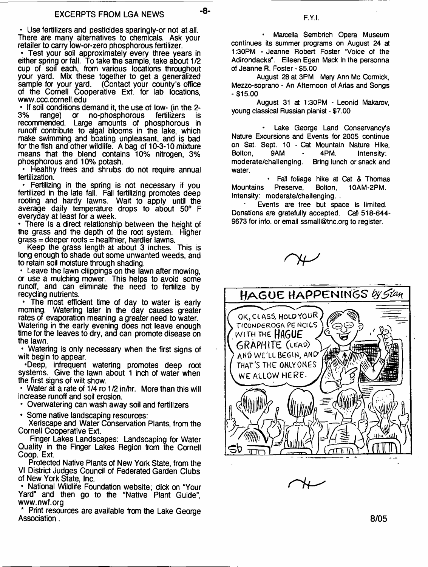-8-

• Use fertilizers and pesticides sparingly-or not at all. There are many alternatives to chemicals. Ask your retailer to carry low-or-zero phosphorous fertilizer.

• Test your soil approximately every three years in either spring or fall. To take the sample, take about 1/2 cup of soil each, from various locations throughout your yard. Mix these together to get a generalized sample for your yard. (Contact your county's office of the Cornell Cooperative Ext. for lab locations, [www.ccc.cornell.edu](http://www.ccc.cornell.edu)

• If soil conditions demand it, the use of low- (in the 2-<br>3% range) or no-phosphorous fertilizers is no-phosphorous recommended. Large amounts of phosphorous in runoff contribute to algal blooms in the lake, which make swimming and boating unpleasant, and is bad for the fish and other wildlife. A bag of 10-3-10 mixture means that the blend contains 10% nitrogen, 3% phosphorous and 10% potash.

• Healthy trees and shrubs do not require annual fertilization.

• Fertilizing in the spring is not necessary if you fertilized in the late fall. Fall fertilizing promotes deep rooting and hardy lawns. Wait to apply until the average daily temperature drops to about 50° F everyday at least for a week.

• There is a direct relationship between the height of the grass and the depth of the root system. Higher  $grass = deeper roots = healthcare, harder laws.$ 

Keep the grass length at about 3 inches. This is long enough to shade out some unwanted weeds, and to retain soil moisture through shading.

• Leave the lawn clippings on the lawn after mowing, or use a mulching mower. This helps to avoid some runoff, and can eliminate the need to fertilize by recycling nutrients.

• The most efficient time of day to water is early morning. Watering later in the day causes greater rates of evaporation meaning a greater need to water. Watering in the early evening does not leave enough time for the leaves to dry, and can promote disease on the lawn.

• Watering is only necessary when the first signs of wilt begin to appear.

•Deep, infrequent watering promotes deep root systems. Give the lawn about 1 inch of water when the first signs of wilt show.

• Water at a rate of 1/4 ro 1/2 in/hr. More than this will increase runoff and soil erosion.

• Overwatering can wash away soil and fertilizers

• Some native landscaping resources:

Xeriscape and Water Conservation Plants, from the Cornell Cooperative Ext.

Finger Lakes Landscapes: Landscaping for Water Quality in the Finger Lakes Region from the Cornell Coop. Ext.

Protected Native Plants of New York State, from the VI District Judges Council of Federated Garden Clubs of New York State, Inc.

• National Wildlife Foundation website; dick on "Your Yard" and then go to the "Native Plant Guide", [www.nwf.org](http://www.nwf.org)

Print resources are available from the Lake George Association.

**• Marcella Sembrich Opera Museum continues its summer programs on August 24 at t :30PM - Jeanne Robert Foster "Voice of the Adirondacks". Eileen Egan Mack in the personna of Jeanne R. Foster - \$5.00**

**August 28 at 3PM Mary Ann Me Cormick, Mezzo-soprano - An Afternoon of Arias and Songs -\$15.00**

**August 31 at 1:30PM - Leonid Makarov, young classical Russian pianist - \$7.00**

**- Lake George Land Conservancy's Nature Excursions and Events for 2005 continue on Sat. Sept. 10 - Cat Mountain Nature Hike, Bolton, 9AM - 4PM. Intensity: moderate/challenging. Bring lunch or snack and water.**

**• Fall foliage hike at Cat & Thomas Mountains Presen/e, Bolton, 10AM-2PM. Intensity: moderate/challenging. .**

**Events are free but space is limited. Donations are gratefully accepted. Call 518-644- 9673 for info, or email [ssmall@tnc.org](mailto:ssmall@tnc.org) to register.**



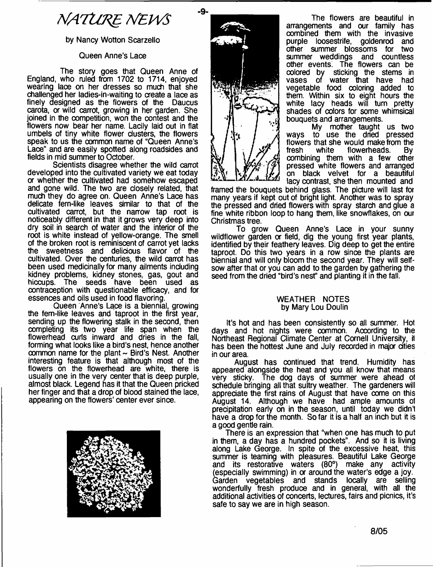# *NATURE NEWS*

# by Nancy Wotton Scarzello

### Queen Anne's Lace

The story goes that Queen Anne of England, who ruled from 1702 to 1714, enjoyed wearing lace on her dresses so much that she challenged her ladies-in-waiting to create a lace as finely designed as the flowers of the Daucus carota, or wild carrot, growing in her garden. She joined in the competition, won the contest and the flowers now bear her name. Lacily laid out in flat umbels of tiny white flower clusters, the flowers speak to us the oommon name of "Queen Anne's Lace" and are easily spotted along roadsides and fields in mid summer to October.

Scientists disagree whether the wild carrot developed into the cultivated variety we eat today or whether the cultivated had somehow escaped and gone wild. The two are closely related, that much they do agree on. Queen Anne's Lace has delicate fern-like leaves similar to that of the cultivated carrot, but the narrow tap root is noticeably different in that it grows very deep into dry soil in search of water and the interior of the root is white instead of yellow-orange. The smell of the broken root is reminiscent of carrot yet lacks the sweetness and delicious flavor of the cultivated. Over the centuries, the wild carrot has been used medicinally for many ailments including kidney problems, kidney stones, gas, gout and hiccups. The seeds have been used as contraception with questionable efficacy, and for essences and oils used in food flavoring.

Queen Anne's Lace is a biennial, growing the fem-like leaves and taproot in the first year, sending up the flowering stalk in the second, then completing its two year life span when the flowerhead curls inward and dries in the fall, forming what looks like a bird's nest, hence another common name for the plant  $\sim$  Bird's Nest. Another interesting feature is that although most of the flowers on the flowerhead are white, there is usually one in the very center that is deep purple, almost black. Legend has it that the Queen pricked her finger and that a drop of blood stained the lace, appearing on the flowers' center ever since.





The flowers are beautiful in arrangements and our family has combined them with the invasive purple loosestrife, goldenrod and other summer blossoms for two summer weddings and countless other events; The flowers can be oolored by sticking the stems in vases of water that have had vegetable food coloring added to them. Within six to eight hours the white lacy heads will turn pretty shades of colors for some whimsical bouquets and arrangements.

My mother taught us two ways to use the dried pressed flowers that she would make from the<br>fresh white flowerheads. By flowerheads. combining them with a few other pressed white flowers and arranged on black velvet for a beautiful lacy contrast, she then mounted and

framed the bouquets behind glass. The picture will last for many years if kept out of bright light. Another was to spray the pressed and dried flowers with spray starch and glue a fine white ribbon loop to hang them, like snowflakes, on our Christmas tree.

To grow Queen Anne's Lace in your sunny wildflower garden or field, dig the young first year plants, identified by their feathery leaves. Dig deep to get the entire taproot. Do this two years in a row since the plants are biennial and will only bloom the second year. They will selfsow after that or you can add to the garden by gathering the seed from the dried "bird's nest" and planting it in the fall.

#### WEATHER NOTES by Mary Lou Doulin

It's hot and has been consistently so all summer. Hot days and hot nights were common. According to the Northeast Regional Climate Center at Cornell University, it has been the hottest June and July recorded in major cities in our area.

August has continued that trend. Humidity has appeared alongside the heat and you all know that means very sticky. The dog days of summer were ahead ol schedule bringing all that sultry weather. The gardeners will appreciate the first rains of August that have come on this August 14. Although we have had ample amounts o1 precipitation early on in the season, until today we didn't have a drop for the month. So far it is a half an inch but it is a good gentle rain.

There is an expression that "when one has much to put in them, a day has a hundred pockets". And so it is living along Lake George. In spite of the excessive heat, this summer is teaming with pleasures. Beautiful Lake George and its restorative waters (80°) make any activity (especially swimming) in or around the water's edge a joy. Garden vegetables and stands locally are selling wonderfully fresh produce and in general, with all the additional activities of concerts, lectures, fairs and picnics, it's safe to say we are in high season.